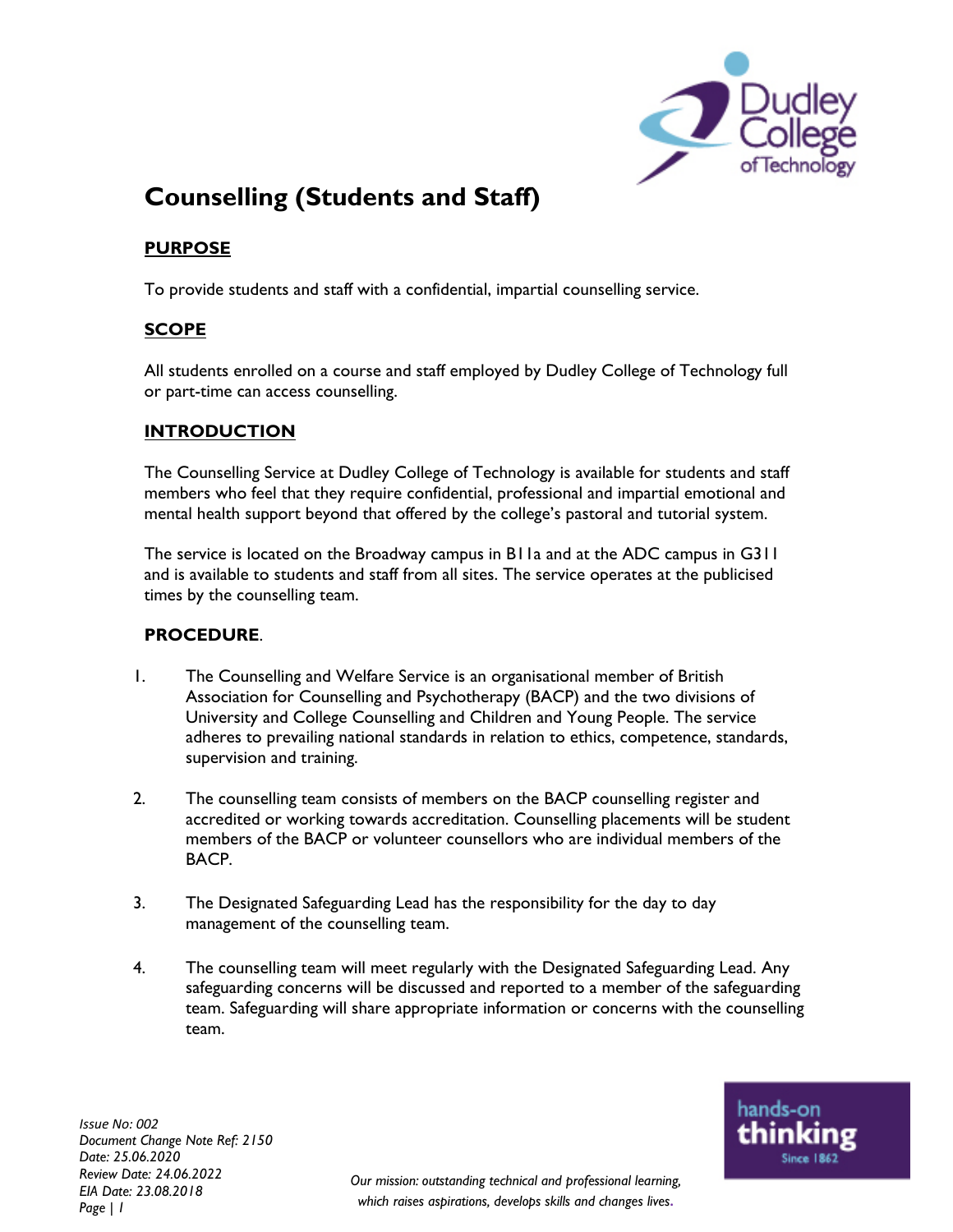

# **Counselling (Students and Staff)**

# **PURPOSE**

To provide students and staff with a confidential, impartial counselling service.

## **SCOPE**

All students enrolled on a course and staff employed by Dudley College of Technology full or part-time can access counselling.

## **INTRODUCTION**

The Counselling Service at Dudley College of Technology is available for students and staff members who feel that they require confidential, professional and impartial emotional and mental health support beyond that offered by the college's pastoral and tutorial system.

The service is located on the Broadway campus in B11a and at the ADC campus in G311 and is available to students and staff from all sites. The service operates at the publicised times by the counselling team.

### **PROCEDURE**.

- 1. The Counselling and Welfare Service is an organisational member of British Association for Counselling and Psychotherapy (BACP) and the two divisions of University and College Counselling and Children and Young People. The service adheres to prevailing national standards in relation to ethics, competence, standards, supervision and training.
- 2. The counselling team consists of members on the BACP counselling register and accredited or working towards accreditation. Counselling placements will be student members of the BACP or volunteer counsellors who are individual members of the BACP.
- 3. The Designated Safeguarding Lead has the responsibility for the day to day management of the counselling team.
- 4. The counselling team will meet regularly with the Designated Safeguarding Lead. Any safeguarding concerns will be discussed and reported to a member of the safeguarding team. Safeguarding will share appropriate information or concerns with the counselling team.

*Issue No: 002 Document Change Note Ref: 2150 Date: 25.06.2020 Review Date: 24.06.2022 EIA Date: 23.08.2018 Page | 1*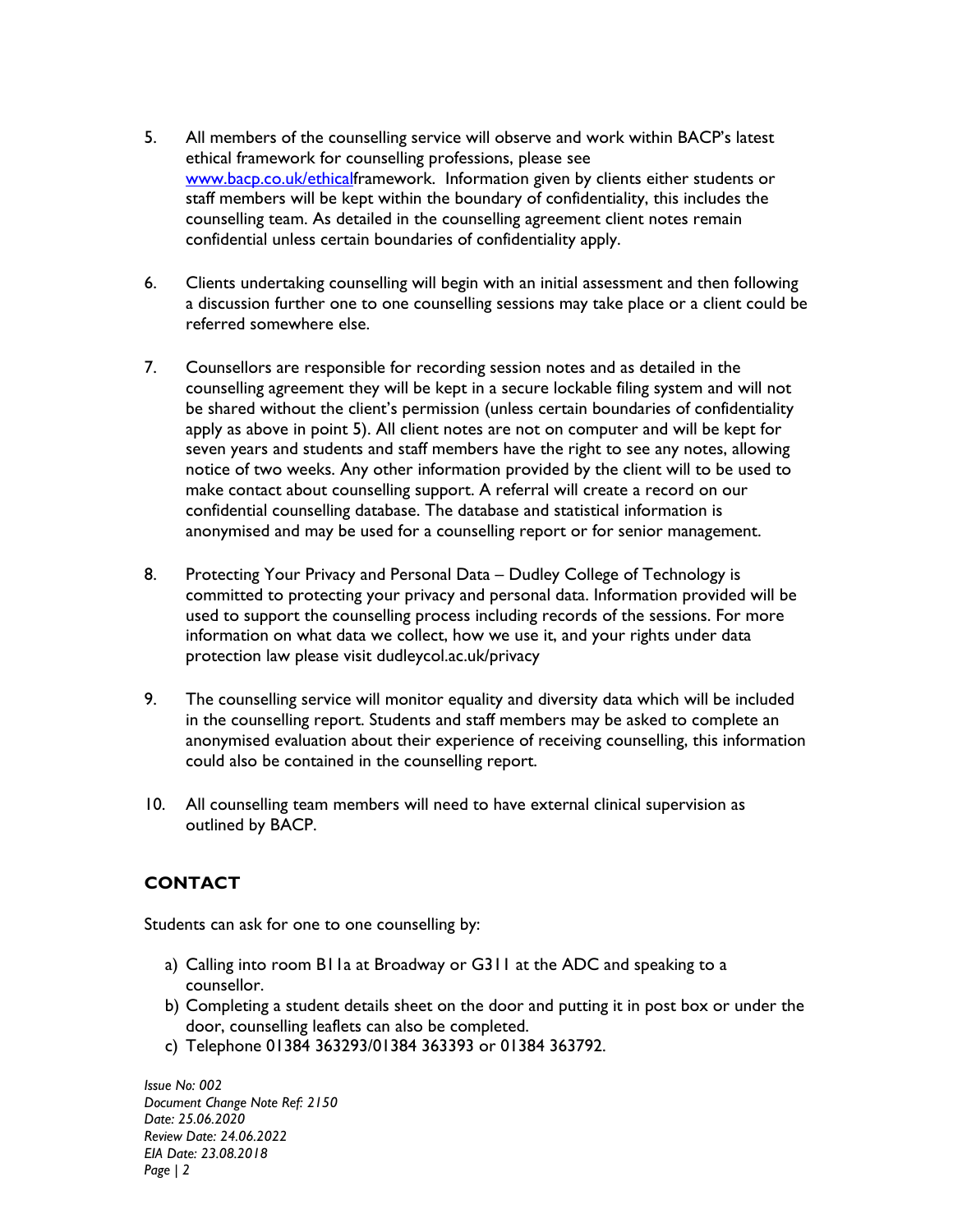- 5. All members of the counselling service will observe and work within BACP's latest ethical framework for counselling professions, please see www.bacp.co.uk/ethicalframework. Information given by clients either students or staff members will be kept within the boundary of confidentiality, this includes the counselling team. As detailed in the counselling agreement client notes remain confidential unless certain boundaries of confidentiality apply.
- 6. Clients undertaking counselling will begin with an initial assessment and then following a discussion further one to one counselling sessions may take place or a client could be referred somewhere else.
- 7. Counsellors are responsible for recording session notes and as detailed in the counselling agreement they will be kept in a secure lockable filing system and will not be shared without the client's permission (unless certain boundaries of confidentiality apply as above in point 5). All client notes are not on computer and will be kept for seven years and students and staff members have the right to see any notes, allowing notice of two weeks. Any other information provided by the client will to be used to make contact about counselling support. A referral will create a record on our confidential counselling database. The database and statistical information is anonymised and may be used for a counselling report or for senior management.
- 8. Protecting Your Privacy and Personal Data Dudley College of Technology is committed to protecting your privacy and personal data. Information provided will be used to support the counselling process including records of the sessions. For more information on what data we collect, how we use it, and your rights under data protection law please visit dudleycol.ac.uk/privacy
- 9. The counselling service will monitor equality and diversity data which will be included in the counselling report. Students and staff members may be asked to complete an anonymised evaluation about their experience of receiving counselling, this information could also be contained in the counselling report.
- 10. All counselling team members will need to have external clinical supervision as outlined by BACP.

## **CONTACT**

Students can ask for one to one counselling by:

- a) Calling into room B11a at Broadway or G311 at the ADC and speaking to a counsellor.
- b) Completing a student details sheet on the door and putting it in post box or under the door, counselling leaflets can also be completed.
- c) Telephone 01384 363293/01384 363393 or 01384 363792.

*Issue No: 002 Document Change Note Ref: 2150 Date: 25.06.2020 Review Date: 24.06.2022 EIA Date: 23.08.2018 Page | 2*